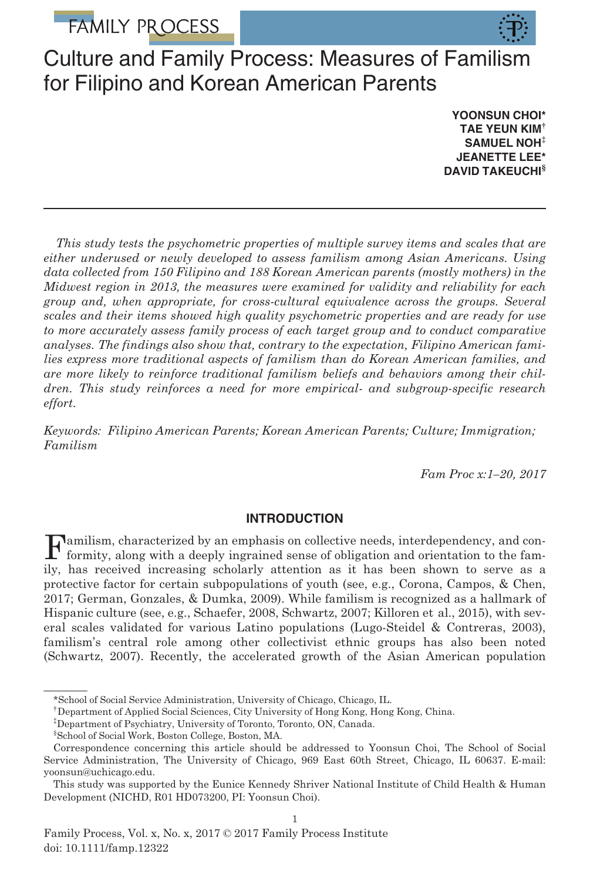

# Culture and Family Process: Measures of Familism for Filipino and Korean American Parents

YOONSUN CHOI\* TAE YEUN KIM† SAMUEL NOH<sup>‡</sup> JEANETTE LEE\* DAVID TAKEUCHI§

This study tests the psychometric properties of multiple survey items and scales that are either underused or newly developed to assess familism among Asian Americans. Using data collected from 150 Filipino and 188 Korean American parents (mostly mothers) in the Midwest region in 2013, the measures were examined for validity and reliability for each group and, when appropriate, for cross-cultural equivalence across the groups. Several scales and their items showed high quality psychometric properties and are ready for use to more accurately assess family process of each target group and to conduct comparative analyses. The findings also show that, contrary to the expectation, Filipino American families express more traditional aspects of familism than do Korean American families, and are more likely to reinforce traditional familism beliefs and behaviors among their children. This study reinforces a need for more empirical- and subgroup-specific research effort.

Keywords: Filipino American Parents; Korean American Parents; Culture; Immigration; Familism

Fam Proc x:1–20, 2017

# INTRODUCTION

Familism, characterized by an emphasis on collective needs, interdependency, and con-formity, along with a deeply ingrained sense of obligation and orientation to the family, has received increasing scholarly attention as it has been shown to serve as a protective factor for certain subpopulations of youth (see, e.g., Corona, Campos, & Chen, 2017; German, Gonzales, & Dumka, 2009). While familism is recognized as a hallmark of Hispanic culture (see, e.g., Schaefer, 2008, Schwartz, 2007; Killoren et al., 2015), with several scales validated for various Latino populations (Lugo-Steidel & Contreras, 2003), familism's central role among other collectivist ethnic groups has also been noted (Schwartz, 2007). Recently, the accelerated growth of the Asian American population

<sup>\*</sup>School of Social Service Administration, University of Chicago, Chicago, IL.

<sup>†</sup> Department of Applied Social Sciences, City University of Hong Kong, Hong Kong, China.

<sup>‡</sup> Department of Psychiatry, University of Toronto, Toronto, ON, Canada.

<sup>§</sup> School of Social Work, Boston College, Boston, MA.

Correspondence concerning this article should be addressed to Yoonsun Choi, The School of Social Service Administration, The University of Chicago, 969 East 60th Street, Chicago, IL 60637. E-mail: yoonsun@uchicago.edu.

This study was supported by the Eunice Kennedy Shriver National Institute of Child Health & Human Development (NICHD, R01 HD073200, PI: Yoonsun Choi).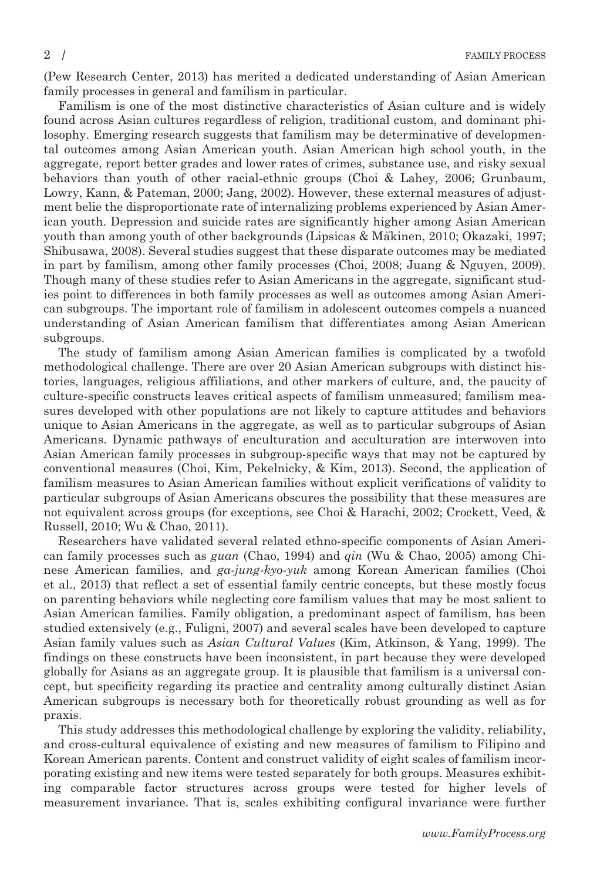(Pew Research Center, 2013) has merited a dedicated understanding of Asian American family processes in general and familism in particular.

Familism is one of the most distinctive characteristics of Asian culture and is widely found across Asian cultures regardless of religion, traditional custom, and dominant philosophy. Emerging research suggests that familism may be determinative of developmental outcomes among Asian American youth. Asian American high school youth, in the aggregate, report better grades and lower rates of crimes, substance use, and risky sexual behaviors than youth of other racial-ethnic groups (Choi & Lahey, 2006; Grunbaum, Lowry, Kann, & Pateman, 2000; Jang, 2002). However, these external measures of adjustment belie the disproportionate rate of internalizing problems experienced by Asian American youth. Depression and suicide rates are significantly higher among Asian American youth than among youth of other backgrounds (Lipsicas & Mäkinen, 2010; Okazaki, 1997; Shibusawa, 2008). Several studies suggest that these disparate outcomes may be mediated in part by familism, among other family processes (Choi, 2008; Juang & Nguyen, 2009). Though many of these studies refer to Asian Americans in the aggregate, significant studies point to differences in both family processes as well as outcomes among Asian American subgroups. The important role of familism in adolescent outcomes compels a nuanced understanding of Asian American familism that differentiates among Asian American subgroups.

The study of familism among Asian American families is complicated by a twofold methodological challenge. There are over 20 Asian American subgroups with distinct histories, languages, religious affiliations, and other markers of culture, and, the paucity of culture-specific constructs leaves critical aspects of familism unmeasured; familism measures developed with other populations are not likely to capture attitudes and behaviors unique to Asian Americans in the aggregate, as well as to particular subgroups of Asian Americans. Dynamic pathways of enculturation and acculturation are interwoven into Asian American family processes in subgroup-specific ways that may not be captured by conventional measures (Choi, Kim, Pekelnicky, & Kim, 2013). Second, the application of familism measures to Asian American families without explicit verifications of validity to particular subgroups of Asian Americans obscures the possibility that these measures are not equivalent across groups (for exceptions, see Choi & Harachi, 2002; Crockett, Veed, & Russell, 2010; Wu & Chao, 2011).

Researchers have validated several related ethno-specific components of Asian American family processes such as *guan* (Chao, 1994) and  $q$ *in* (Wu & Chao, 2005) among Chinese American families, and ga-jung-kyo-yuk among Korean American families (Choi et al., 2013) that reflect a set of essential family centric concepts, but these mostly focus on parenting behaviors while neglecting core familism values that may be most salient to Asian American families. Family obligation, a predominant aspect of familism, has been studied extensively (e.g., Fuligni, 2007) and several scales have been developed to capture Asian family values such as Asian Cultural Values (Kim, Atkinson, & Yang, 1999). The findings on these constructs have been inconsistent, in part because they were developed globally for Asians as an aggregate group. It is plausible that familism is a universal concept, but specificity regarding its practice and centrality among culturally distinct Asian American subgroups is necessary both for theoretically robust grounding as well as for praxis.

This study addresses this methodological challenge by exploring the validity, reliability, and cross-cultural equivalence of existing and new measures of familism to Filipino and Korean American parents. Content and construct validity of eight scales of familism incorporating existing and new items were tested separately for both groups. Measures exhibiting comparable factor structures across groups were tested for higher levels of measurement invariance. That is, scales exhibiting configural invariance were further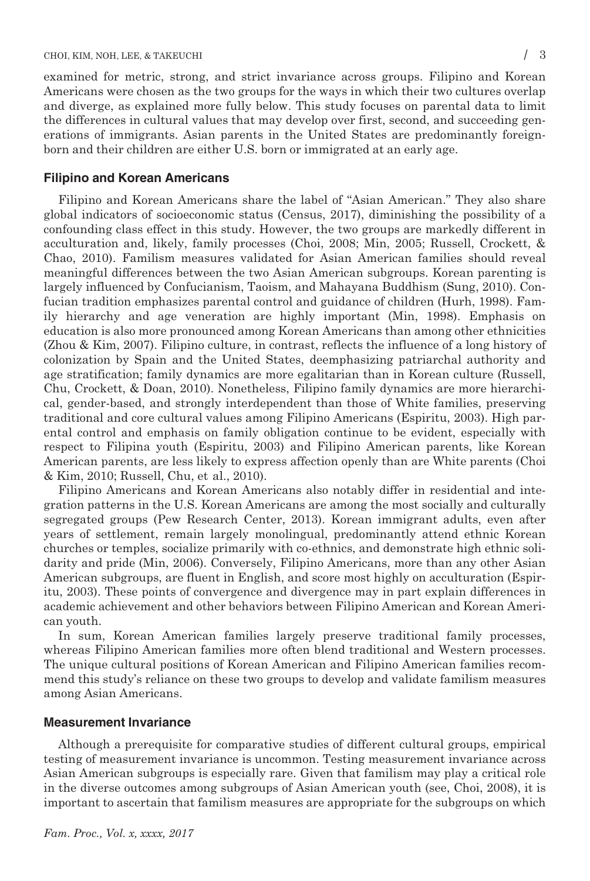examined for metric, strong, and strict invariance across groups. Filipino and Korean Americans were chosen as the two groups for the ways in which their two cultures overlap and diverge, as explained more fully below. This study focuses on parental data to limit the differences in cultural values that may develop over first, second, and succeeding generations of immigrants. Asian parents in the United States are predominantly foreignborn and their children are either U.S. born or immigrated at an early age.

## Filipino and Korean Americans

Filipino and Korean Americans share the label of "Asian American." They also share global indicators of socioeconomic status (Census, 2017), diminishing the possibility of a confounding class effect in this study. However, the two groups are markedly different in acculturation and, likely, family processes (Choi, 2008; Min, 2005; Russell, Crockett, & Chao, 2010). Familism measures validated for Asian American families should reveal meaningful differences between the two Asian American subgroups. Korean parenting is largely influenced by Confucianism, Taoism, and Mahayana Buddhism (Sung, 2010). Confucian tradition emphasizes parental control and guidance of children (Hurh, 1998). Family hierarchy and age veneration are highly important (Min, 1998). Emphasis on education is also more pronounced among Korean Americans than among other ethnicities (Zhou & Kim, 2007). Filipino culture, in contrast, reflects the influence of a long history of colonization by Spain and the United States, deemphasizing patriarchal authority and age stratification; family dynamics are more egalitarian than in Korean culture (Russell, Chu, Crockett, & Doan, 2010). Nonetheless, Filipino family dynamics are more hierarchical, gender-based, and strongly interdependent than those of White families, preserving traditional and core cultural values among Filipino Americans (Espiritu, 2003). High parental control and emphasis on family obligation continue to be evident, especially with respect to Filipina youth (Espiritu, 2003) and Filipino American parents, like Korean American parents, are less likely to express affection openly than are White parents (Choi & Kim, 2010; Russell, Chu, et al., 2010).

Filipino Americans and Korean Americans also notably differ in residential and integration patterns in the U.S. Korean Americans are among the most socially and culturally segregated groups (Pew Research Center, 2013). Korean immigrant adults, even after years of settlement, remain largely monolingual, predominantly attend ethnic Korean churches or temples, socialize primarily with co-ethnics, and demonstrate high ethnic solidarity and pride (Min, 2006). Conversely, Filipino Americans, more than any other Asian American subgroups, are fluent in English, and score most highly on acculturation (Espiritu, 2003). These points of convergence and divergence may in part explain differences in academic achievement and other behaviors between Filipino American and Korean American youth.

In sum, Korean American families largely preserve traditional family processes, whereas Filipino American families more often blend traditional and Western processes. The unique cultural positions of Korean American and Filipino American families recommend this study's reliance on these two groups to develop and validate familism measures among Asian Americans.

## Measurement Invariance

Although a prerequisite for comparative studies of different cultural groups, empirical testing of measurement invariance is uncommon. Testing measurement invariance across Asian American subgroups is especially rare. Given that familism may play a critical role in the diverse outcomes among subgroups of Asian American youth (see, Choi, 2008), it is important to ascertain that familism measures are appropriate for the subgroups on which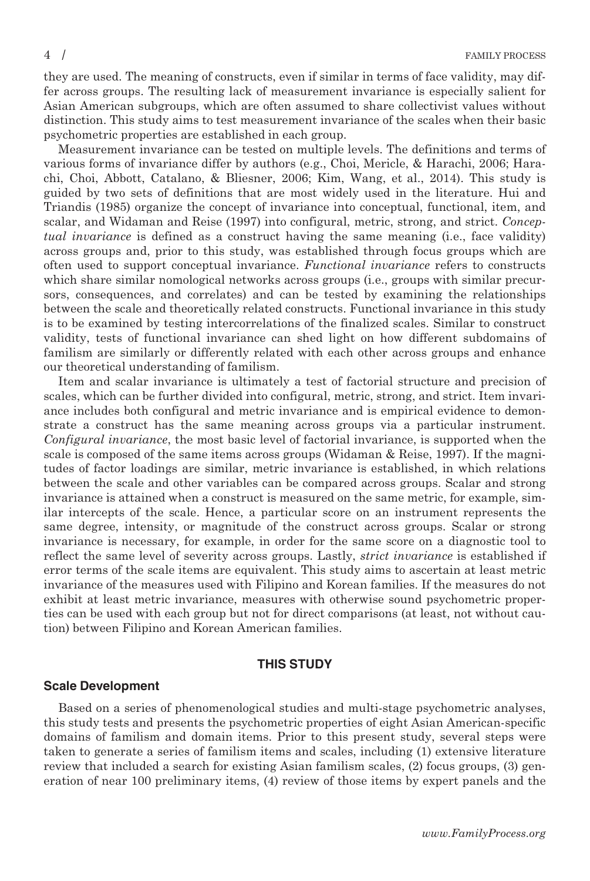they are used. The meaning of constructs, even if similar in terms of face validity, may differ across groups. The resulting lack of measurement invariance is especially salient for Asian American subgroups, which are often assumed to share collectivist values without distinction. This study aims to test measurement invariance of the scales when their basic psychometric properties are established in each group.

Measurement invariance can be tested on multiple levels. The definitions and terms of various forms of invariance differ by authors (e.g., Choi, Mericle, & Harachi, 2006; Harachi, Choi, Abbott, Catalano, & Bliesner, 2006; Kim, Wang, et al., 2014). This study is guided by two sets of definitions that are most widely used in the literature. Hui and Triandis (1985) organize the concept of invariance into conceptual, functional, item, and scalar, and Widaman and Reise (1997) into configural, metric, strong, and strict. Conceptual invariance is defined as a construct having the same meaning (i.e., face validity) across groups and, prior to this study, was established through focus groups which are often used to support conceptual invariance. Functional invariance refers to constructs which share similar nomological networks across groups (i.e., groups with similar precursors, consequences, and correlates) and can be tested by examining the relationships between the scale and theoretically related constructs. Functional invariance in this study is to be examined by testing intercorrelations of the finalized scales. Similar to construct validity, tests of functional invariance can shed light on how different subdomains of familism are similarly or differently related with each other across groups and enhance our theoretical understanding of familism.

Item and scalar invariance is ultimately a test of factorial structure and precision of scales, which can be further divided into configural, metric, strong, and strict. Item invariance includes both configural and metric invariance and is empirical evidence to demonstrate a construct has the same meaning across groups via a particular instrument. Configural invariance, the most basic level of factorial invariance, is supported when the scale is composed of the same items across groups (Widaman & Reise, 1997). If the magnitudes of factor loadings are similar, metric invariance is established, in which relations between the scale and other variables can be compared across groups. Scalar and strong invariance is attained when a construct is measured on the same metric, for example, similar intercepts of the scale. Hence, a particular score on an instrument represents the same degree, intensity, or magnitude of the construct across groups. Scalar or strong invariance is necessary, for example, in order for the same score on a diagnostic tool to reflect the same level of severity across groups. Lastly, strict invariance is established if error terms of the scale items are equivalent. This study aims to ascertain at least metric invariance of the measures used with Filipino and Korean families. If the measures do not exhibit at least metric invariance, measures with otherwise sound psychometric properties can be used with each group but not for direct comparisons (at least, not without caution) between Filipino and Korean American families.

## THIS STUDY

#### Scale Development

Based on a series of phenomenological studies and multi-stage psychometric analyses, this study tests and presents the psychometric properties of eight Asian American-specific domains of familism and domain items. Prior to this present study, several steps were taken to generate a series of familism items and scales, including (1) extensive literature review that included a search for existing Asian familism scales, (2) focus groups, (3) generation of near 100 preliminary items, (4) review of those items by expert panels and the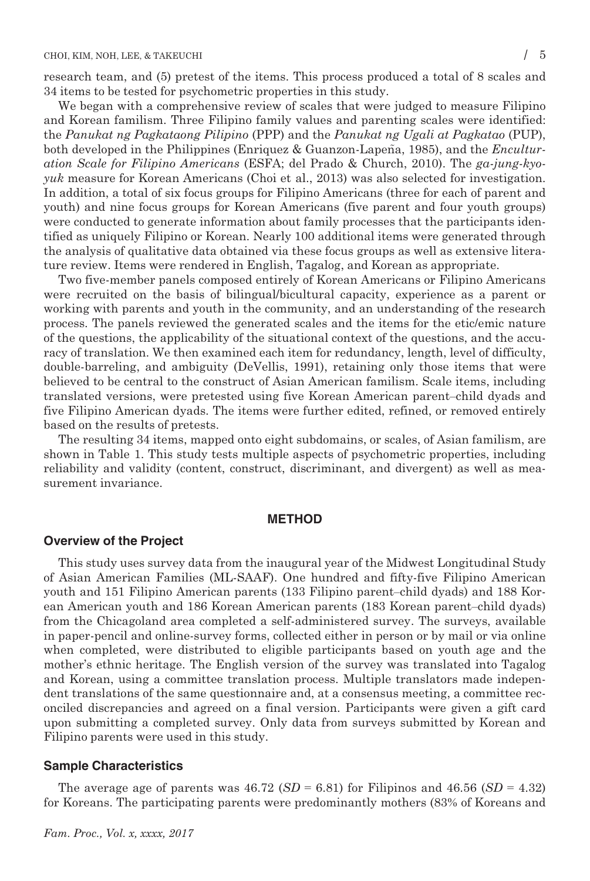research team, and (5) pretest of the items. This process produced a total of 8 scales and 34 items to be tested for psychometric properties in this study.

We began with a comprehensive review of scales that were judged to measure Filipino and Korean familism. Three Filipino family values and parenting scales were identified: the Panukat ng Pagkataong Pilipino (PPP) and the Panukat ng Ugali at Pagkatao (PUP), both developed in the Philippines (Enriquez & Guanzon-Lapena, 1985), and the  $Encultur$ ation Scale for Filipino Americans (ESFA; del Prado & Church, 2010). The ga-jung-kyoyuk measure for Korean Americans (Choi et al., 2013) was also selected for investigation. In addition, a total of six focus groups for Filipino Americans (three for each of parent and youth) and nine focus groups for Korean Americans (five parent and four youth groups) were conducted to generate information about family processes that the participants identified as uniquely Filipino or Korean. Nearly 100 additional items were generated through the analysis of qualitative data obtained via these focus groups as well as extensive literature review. Items were rendered in English, Tagalog, and Korean as appropriate.

Two five-member panels composed entirely of Korean Americans or Filipino Americans were recruited on the basis of bilingual/bicultural capacity, experience as a parent or working with parents and youth in the community, and an understanding of the research process. The panels reviewed the generated scales and the items for the etic/emic nature of the questions, the applicability of the situational context of the questions, and the accuracy of translation. We then examined each item for redundancy, length, level of difficulty, double-barreling, and ambiguity (DeVellis, 1991), retaining only those items that were believed to be central to the construct of Asian American familism. Scale items, including translated versions, were pretested using five Korean American parent–child dyads and five Filipino American dyads. The items were further edited, refined, or removed entirely based on the results of pretests.

The resulting 34 items, mapped onto eight subdomains, or scales, of Asian familism, are shown in Table 1. This study tests multiple aspects of psychometric properties, including reliability and validity (content, construct, discriminant, and divergent) as well as measurement invariance.

## METHOD

#### Overview of the Project

This study uses survey data from the inaugural year of the Midwest Longitudinal Study of Asian American Families (ML-SAAF). One hundred and fifty-five Filipino American youth and 151 Filipino American parents (133 Filipino parent–child dyads) and 188 Korean American youth and 186 Korean American parents (183 Korean parent–child dyads) from the Chicagoland area completed a self-administered survey. The surveys, available in paper-pencil and online-survey forms, collected either in person or by mail or via online when completed, were distributed to eligible participants based on youth age and the mother's ethnic heritage. The English version of the survey was translated into Tagalog and Korean, using a committee translation process. Multiple translators made independent translations of the same questionnaire and, at a consensus meeting, a committee reconciled discrepancies and agreed on a final version. Participants were given a gift card upon submitting a completed survey. Only data from surveys submitted by Korean and Filipino parents were used in this study.

#### Sample Characteristics

The average age of parents was  $46.72$  (SD = 6.81) for Filipinos and  $46.56$  (SD = 4.32) for Koreans. The participating parents were predominantly mothers (83% of Koreans and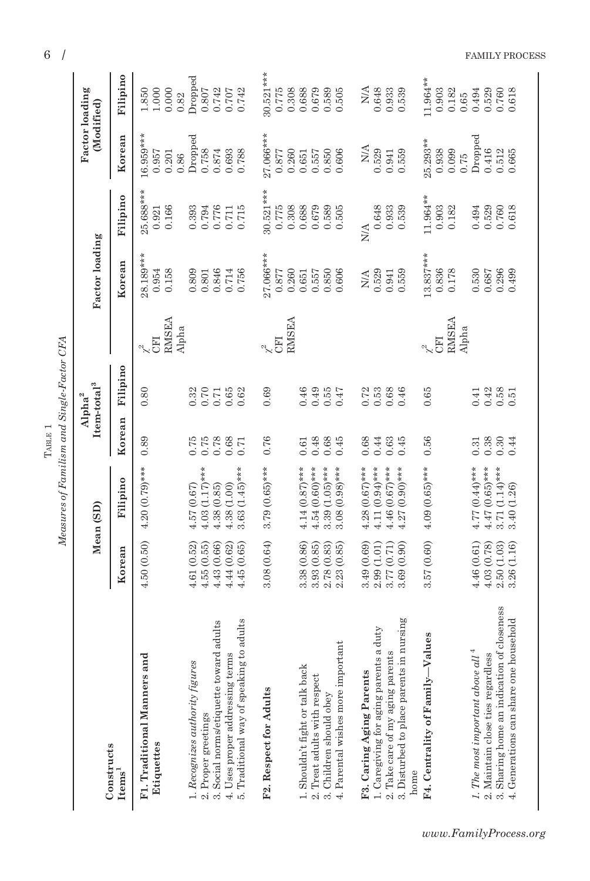|                                                                                                                                                                                  |                                                                                            | Measures of Familism and Single-Factor CFA                                     | $T_{ABLE}$ 1                             |                                      |                            |                                           |                                           |                                                            |                                             |
|----------------------------------------------------------------------------------------------------------------------------------------------------------------------------------|--------------------------------------------------------------------------------------------|--------------------------------------------------------------------------------|------------------------------------------|--------------------------------------|----------------------------|-------------------------------------------|-------------------------------------------|------------------------------------------------------------|---------------------------------------------|
|                                                                                                                                                                                  |                                                                                            | Mean (SD)                                                                      |                                          | $Item-total3$<br>$\mathrm{Alpha}^2$  |                            | Factor loading                            |                                           | Factor loading<br>(Modified)                               |                                             |
| Constructs<br>Items <sup>1</sup>                                                                                                                                                 | Korean                                                                                     | Filipino                                                                       | Korean                                   | Filipino                             |                            | Korean                                    | Filipino                                  | Korean                                                     | Filipino                                    |
| F1. Traditional Manners and<br>Etiquettes                                                                                                                                        | 4.50 (0.50)                                                                                | $4.20(0.79)***$                                                                | 0.89                                     | 0.80                                 | RMSEA<br>Alpha<br>CFI<br>2 | 28.189***<br>0.158<br>0.954               | 25.688***<br>0.166<br>0.921               | 16.959***<br>0.957<br>0.201<br>0.86                        | 1.000<br>0.000<br>1.850<br>0.82             |
| 5. Traditional way of speaking to adults<br>3. Social norms/etiquette toward adults<br>4. Uses proper addressing terms<br>1. Recognizes authority figures<br>2. Proper greetings | 4.61(0.52)<br>4.55(0.55)<br>4.43 (0.66)<br>4.44 (0.62)<br>4.45 (0.65)                      | $4.03(1.17)***$<br>$3.63(1.45)***$<br>4.38 (1.00)<br>4.57 (0.67)<br>4.38(0.85) | 0.75<br>$0.75$<br>$0.78$<br>0.68<br>0.71 | 0.65<br>0.32<br>0.70<br>0.62<br>0.71 |                            | 0.809<br>0.846<br>0.756<br>0.714<br>0.801 | 0.715<br>0.393<br>0.794<br>0.776<br>0.711 | $\bold{D}{\rm{roped}}$<br>0.758<br>0.874<br>0.693<br>0.788 | Dropped<br>0.742<br>0.742<br>0.807<br>0.707 |
| F2. Respect for Adults                                                                                                                                                           | 3.08(0.64)                                                                                 | $3.79(0.65)$ ***                                                               | 0.76                                     | 0.69                                 | CFI<br>U.                  | 27.066***<br>0.877                        | 30.521***<br>0.775                        | 27.066***<br>0.877                                         | $30.521***$<br>0.775                        |
| 4. Parental wishes more important<br>1. Shouldn't fight or talk back<br>2. Treat adults with respect<br>3. Children should obey                                                  | 3.38 (0.86)<br>3.93(0.85)<br>$\begin{array}{c} 2.78 \ (0.83) \\ 2.23 \ (0.85) \end{array}$ | $4.14(0.87)***$<br>$4.54(0.60)***$<br>$3.08(0.98)***$<br>$3.39(1.05)$ ***      | 0.48<br>0.68<br>0.45<br>0.61             | 0.46<br>0.49<br>0.55<br>0.47         | RMSEA                      | 0.260<br>0.850<br>0.606<br>0.557<br>0.651 | 0.308<br>0.679<br>0.589<br>0.688<br>0.505 | 0.850<br>0.606<br>0.260<br>0.557<br>0.651                  | 0.308<br>0.688<br>0.589<br>0.679<br>0.505   |
| 3. Disturbed to place parents in nursing<br>1. Caregiving for aging parents a duty<br>2. Take care of my aging parents<br>F3. Caring Aging Parents<br>home                       | 3.49(0.69)<br>3.77 (0.71)<br>3.69(0.90)<br>2.99(1.01)                                      | $4.28(0.67)$ ***<br>$4.11(0.94)$ ***<br>$4.46(0.67)$ ***<br>$4.27(0.90)***$    | 0.68<br>0.44<br>0.63<br>0.45             | 0.53<br>0.68<br>0.72<br>0.46         |                            | 0.529<br>0.559<br>0.941<br><b>N/A</b>     | 0.648<br>0.933<br>0.539<br>N/A            | <b>N/A</b><br>0.529<br>0.559<br>0.941                      | NA<br>0.648<br>0.933<br>0.539               |
| $F4.$ Centrality of Family-Values                                                                                                                                                | 3.57 (0.60)                                                                                | $4.09(0.65)***$                                                                | 0.56                                     | 0.65                                 | RMSEA<br>Alpha<br>CFI<br>۹ | $3.837***$<br>0.836<br>0.178              | $11.964***$<br>0.903<br>0.182             | 25.293**<br>0.938<br>0.099<br>0.75                         | 11.964**<br>0.903<br>0.182<br>0.65          |
| 3. Sharing home an indication of closeness<br>4. Generations can share one household<br>1. The most important above all $^4$<br>2. Maintain close ties regardless                | 4.46 (0.61)<br>4.03 (0.78)<br>2.50(1.03)<br>3.26 (1.16)                                    | $4.77(0.44)$ ***<br>$4.47(0.65)***$<br>$3.71(1.14)$ ***<br>3.40 (1.26)         | 0.38<br>0.30<br>0.44<br>0.31             | 0.42<br>0.58<br>0.51<br>0.41         |                            | 0.530<br>0.687<br>0.296<br>0.499          | 0.529<br>0.494<br>0.760<br>0.618          | Dropped<br>0.416<br>0.512<br>0.665                         | 0.529<br>0.760<br>0.494<br>0.618            |

FAMILY PROCESS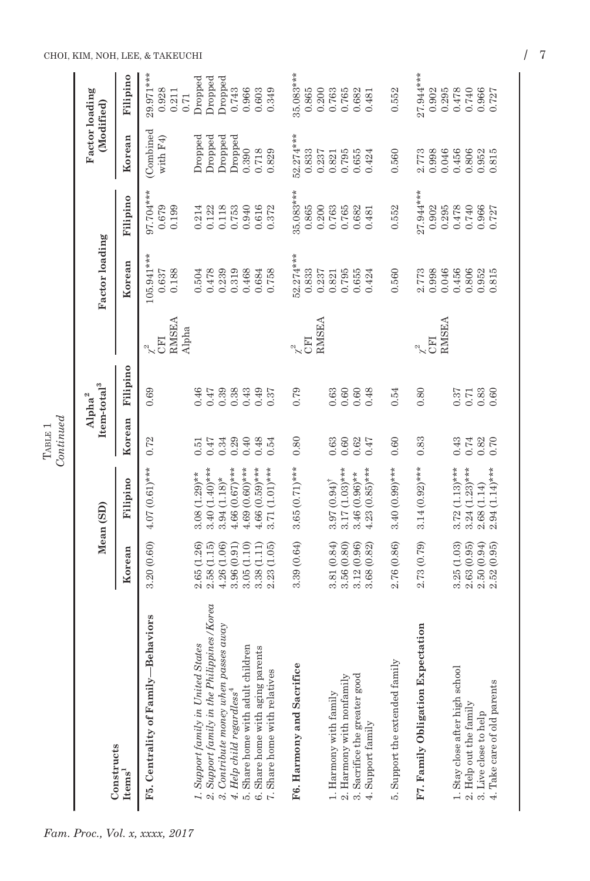|                                                                                                                   |                                                      |                                                                     | Continued<br>$TABLE 1$       |                                                                         |                                 |                                  |                                  |                                           |                                     |
|-------------------------------------------------------------------------------------------------------------------|------------------------------------------------------|---------------------------------------------------------------------|------------------------------|-------------------------------------------------------------------------|---------------------------------|----------------------------------|----------------------------------|-------------------------------------------|-------------------------------------|
|                                                                                                                   |                                                      | Mean <sub>(SD)</sub>                                                |                              | $\label{eq:temtotal} \textbf{Item-to} \textbf{ta1}^3$<br>$\bf{Alpha}^2$ |                                 | Factor loading                   |                                  | Factor loading<br>(Modified)              |                                     |
| Constructs<br>Items <sup>1</sup>                                                                                  | Korean                                               | Filipino                                                            | Korean                       | Filipino                                                                |                                 | Korean                           | Filipino                         | Korean                                    | Filipino                            |
| F5. Centrality of Family-Behaviors                                                                                | 3.20 (0.60)                                          | $4.07(0.61)$ ***                                                    | 0.72                         | 0.69                                                                    | RMSEA<br>Alpha<br>CFI<br>$x^2$  | 105.941***<br>0.637<br>0.188     | 97.704***<br>0.679<br>0.199      | Combined<br>with $F(4)$                   | 29.971***<br>0.928<br>0.211<br>0.71 |
| 2. Support family in the Philippines / Korea<br>1. Support family in United States                                | 2.65(1.26)<br>2.58(1.15)                             | $3.40(1.40)$ ***<br>$3.08(1.29)$ **                                 | 0.47<br>0.51                 | 0.46<br>0.47                                                            |                                 | 0.478<br>0.504                   | 0.214<br>0.122                   | $\boldsymbol{\mathrm{Droped}}$<br>Dropped | Dropped<br>Dropped                  |
| 3. Contribute money when passes away<br>4. Help child regardless <sup>4</sup>                                     | 4.26 (1.06)<br>3.96(0.91)                            | $4.66(0.67)$ ***<br>$3.94(1.18)*$                                   | 0.29<br>0.34                 | 0.39<br>0.38                                                            |                                 | 0.239<br>0.319                   | 0.118<br>0.753                   | Dropped<br>Dropped                        | Dropped<br>0.743                    |
| 5. Share home with adult children                                                                                 | 3.05(1.10)                                           | $4.69(0.60)$ ***                                                    | 0.40                         | 0.43                                                                    |                                 | 0.468                            | 0.940                            | 0.390                                     | 0.966                               |
| 6. Share home with aging parents<br>7. Share home with relatives                                                  | 3.38(1.11)<br>2.23(1.05)                             | $4.66(0.59)$ ***<br>$3.71(1.01)$ ***                                | 0.48<br>0.54                 | 0.49<br>0.37                                                            |                                 | 0.758<br>0.684                   | 0.616<br>0.372                   | 0.718<br>0.829                            | 0.349<br>0.603                      |
| F6. Harmony and Sacrifice                                                                                         | 3.39(0.64)                                           | $3.65(0.71)$ ***                                                    | 0.80                         | 0.79                                                                    | <b>CHI</b><br>$\chi^2$          | $52.274***$<br>0.833             | 35.083***<br>0.865               | 52.274***<br>0.833                        | 35.083***<br>0.865                  |
| 1. Harmony with family                                                                                            | 3.81(0.84)                                           | $3.97(0.94)^{\dagger}$                                              | 0.63                         | 0.63                                                                    | RMSEA                           | 0.237<br>0.821                   | 0.763<br>0.200                   | 0.237<br>0.821                            | 0.200<br>0.763                      |
| 3. Sacrifice the greater good<br>2. Harmony with nonfamily                                                        | 3.56 (0.80)<br>3.12 (0.96)                           | $3.17(1.03)***$<br>$3.46(0.96)$ **                                  | 0.62<br>0.60                 | 0.60<br>0.60                                                            |                                 | 0.795<br>0.655                   | 0.765<br>0.682                   | 0.795<br>0.655                            | 0.765<br>0.682                      |
| 4. Support family                                                                                                 | 3.68(0.82)                                           | $(0.85)$ ***<br>4.23                                                | 0.47                         | 0.48                                                                    |                                 | 0.424                            | 0.481                            | 0.424                                     | 0.481                               |
| 5. Support the extended family                                                                                    | 2.76 (0.86)                                          | $3.40(0.99)***$                                                     | 0.60                         | 0.54                                                                    |                                 | 0.560                            | 0.552                            | 0.560                                     | 0.552                               |
| F7. Family Obligation Expectation                                                                                 | 2.73 (0.79)                                          | $3.14(0.92)$ ***                                                    | 0.83                         | 0.80                                                                    | RMSEA<br><b>CFI</b><br>$\chi^2$ | 0.046<br>2.773<br>0.998          | 27.944***<br>0.902<br>0.295      | 2.773<br>0.998<br>0.046                   | 27.944***<br>0.902<br>0.295         |
| 1. Stay close after high school<br>4. Take care of old parents<br>2. Help out the family<br>3. Live close to help | 3.25(1.03)<br>2.63(0.95)<br>2.50(0.94)<br>2.52(0.95) | $3.72(1.13)***$<br>$3.24(1.23)***$<br>$2.94(1.14)***$<br>2.68(1.14) | 0.74<br>0.82<br>0.43<br>0.70 | 0.37<br>0.83<br>0.71<br>0.60                                            |                                 | 0.456<br>0.806<br>0.952<br>0.815 | 0.478<br>0.740<br>0.966<br>0.727 | 0.456<br>0.806<br>0.952<br>0.815          | 0.478<br>0.740<br>0.966<br>0.727    |

Fam. Proc., Vol. x, xxxx, 2017

/ 7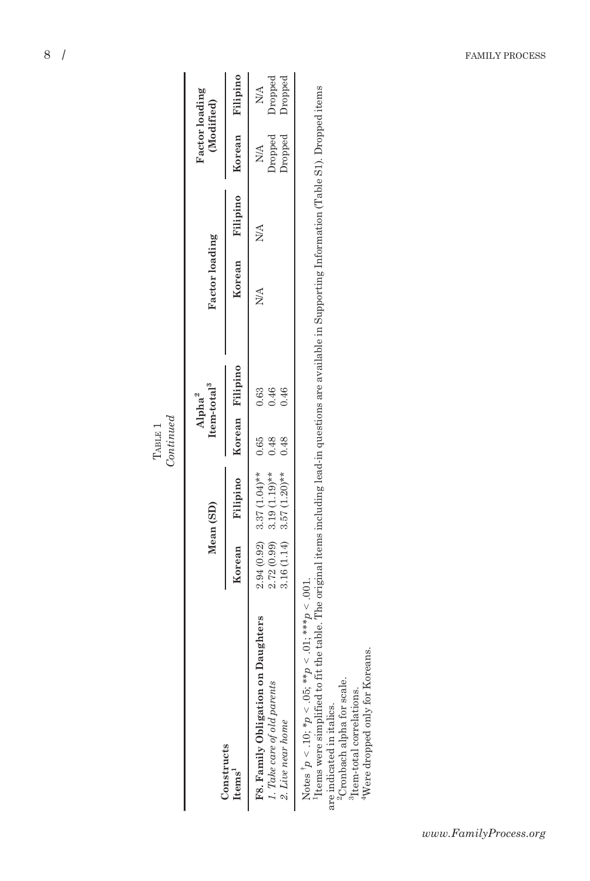|                                                                                                                                                                                                                       |        |                                                              | Continued<br>$\rm T_{ABLE}$ 1 |                                      |                |          |                              |                |
|-----------------------------------------------------------------------------------------------------------------------------------------------------------------------------------------------------------------------|--------|--------------------------------------------------------------|-------------------------------|--------------------------------------|----------------|----------|------------------------------|----------------|
|                                                                                                                                                                                                                       |        | Mean (SD)                                                    |                               | $Item-tootal3$<br>Alpha <sup>2</sup> | Factor loading |          | Factor loading<br>(Modified) |                |
| Constructs<br>Items <sup>1</sup>                                                                                                                                                                                      | Korean | Filipino                                                     |                               | Korean Filipino                      | Korean         | Filipino | Korean                       | Filipino       |
| F8. Family Obligation on Daughters<br>1. Take care of old parents                                                                                                                                                     |        | $2.94(0.92)$ $3.37(1.04)$ **<br>$2.72(0.99)$ $3.19(1.19)$ ** | 0.65<br>0.48                  | 0.63<br>0.46                         | NA             | N/A      | Dropped<br>$\overline{N}$ A  | Dropped<br>N/A |
| 2. Live near home                                                                                                                                                                                                     |        | $3.16(1.14)$ $3.57(1.20)$ **                                 | 0.48                          | 0.46                                 |                |          | Dropped                      | Dropped        |
| The monocine that the that of the maginal items includingly and in our contribution of the properties of the maginal computation of $\mathbb{R}^n$<br>Notes $p < .10$ ; * $p < .05$ ; ** $p < .01$ ; *** $p < .001$ . |        |                                                              |                               |                                      |                |          |                              |                |

"Items were simplified to fit the table. The original items including lead-in questions are available in Supporting Information (Table S1). Dropped items 1Items were simplified to fit the table. The original items including lead-in questions are available in Supporting Information (Table S1). Dropped items are indicated in italics. are indicated in italics.

 $^{2}$ Cronbach alpha for scale.

3Item-total correlations.

 $^2$  Cronbach alpha for scale.  $^3$  Item-total correlations. Were dropped only for Koreans. 4Were dropped only for Koreans.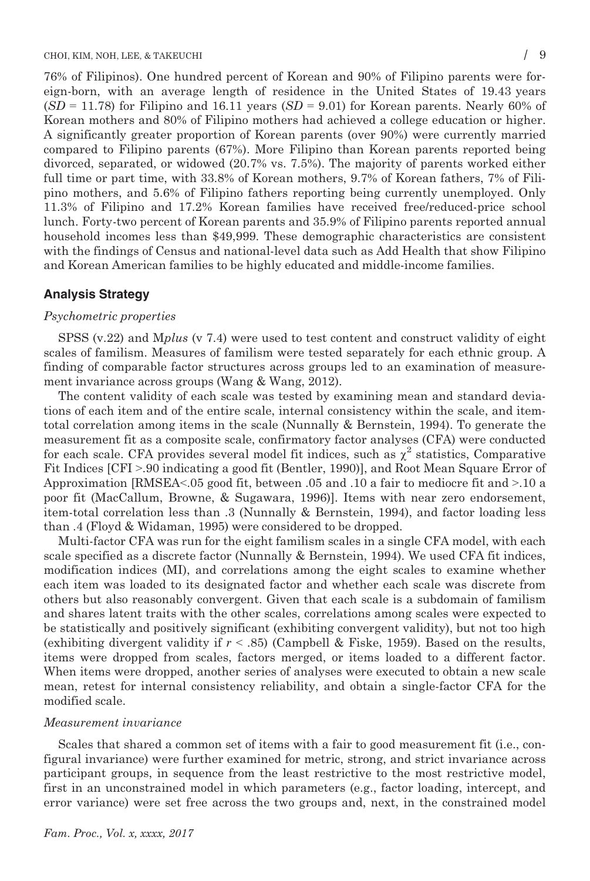76% of Filipinos). One hundred percent of Korean and 90% of Filipino parents were foreign-born, with an average length of residence in the United States of 19.43 years  $(SD = 11.78)$  for Filipino and 16.11 years  $(SD = 9.01)$  for Korean parents. Nearly 60% of Korean mothers and 80% of Filipino mothers had achieved a college education or higher. A significantly greater proportion of Korean parents (over 90%) were currently married compared to Filipino parents (67%). More Filipino than Korean parents reported being divorced, separated, or widowed (20.7% vs. 7.5%). The majority of parents worked either full time or part time, with 33.8% of Korean mothers, 9.7% of Korean fathers, 7% of Filipino mothers, and 5.6% of Filipino fathers reporting being currently unemployed. Only 11.3% of Filipino and 17.2% Korean families have received free/reduced-price school lunch. Forty-two percent of Korean parents and 35.9% of Filipino parents reported annual household incomes less than \$49,999. These demographic characteristics are consistent with the findings of Census and national-level data such as Add Health that show Filipino and Korean American families to be highly educated and middle-income families.

## Analysis Strategy

## Psychometric properties

SPSS ( $v.22$ ) and Mplus ( $v.7.4$ ) were used to test content and construct validity of eight scales of familism. Measures of familism were tested separately for each ethnic group. A finding of comparable factor structures across groups led to an examination of measurement invariance across groups (Wang & Wang, 2012).

The content validity of each scale was tested by examining mean and standard deviations of each item and of the entire scale, internal consistency within the scale, and itemtotal correlation among items in the scale (Nunnally & Bernstein, 1994). To generate the measurement fit as a composite scale, confirmatory factor analyses (CFA) were conducted for each scale. CFA provides several model fit indices, such as  $\gamma^2$  statistics, Comparative Fit Indices [CFI >.90 indicating a good fit (Bentler, 1990)], and Root Mean Square Error of Approximation [RMSEA<.05 good fit, between .05 and .10 a fair to mediocre fit and >.10 a poor fit (MacCallum, Browne, & Sugawara, 1996)]. Items with near zero endorsement, item-total correlation less than .3 (Nunnally & Bernstein, 1994), and factor loading less than .4 (Floyd & Widaman, 1995) were considered to be dropped.

Multi-factor CFA was run for the eight familism scales in a single CFA model, with each scale specified as a discrete factor (Nunnally & Bernstein, 1994). We used CFA fit indices, modification indices (MI), and correlations among the eight scales to examine whether each item was loaded to its designated factor and whether each scale was discrete from others but also reasonably convergent. Given that each scale is a subdomain of familism and shares latent traits with the other scales, correlations among scales were expected to be statistically and positively significant (exhibiting convergent validity), but not too high (exhibiting divergent validity if  $r < .85$ ) (Campbell & Fiske, 1959). Based on the results, items were dropped from scales, factors merged, or items loaded to a different factor. When items were dropped, another series of analyses were executed to obtain a new scale mean, retest for internal consistency reliability, and obtain a single-factor CFA for the modified scale.

## Measurement invariance

Scales that shared a common set of items with a fair to good measurement fit (i.e., configural invariance) were further examined for metric, strong, and strict invariance across participant groups, in sequence from the least restrictive to the most restrictive model, first in an unconstrained model in which parameters (e.g., factor loading, intercept, and error variance) were set free across the two groups and, next, in the constrained model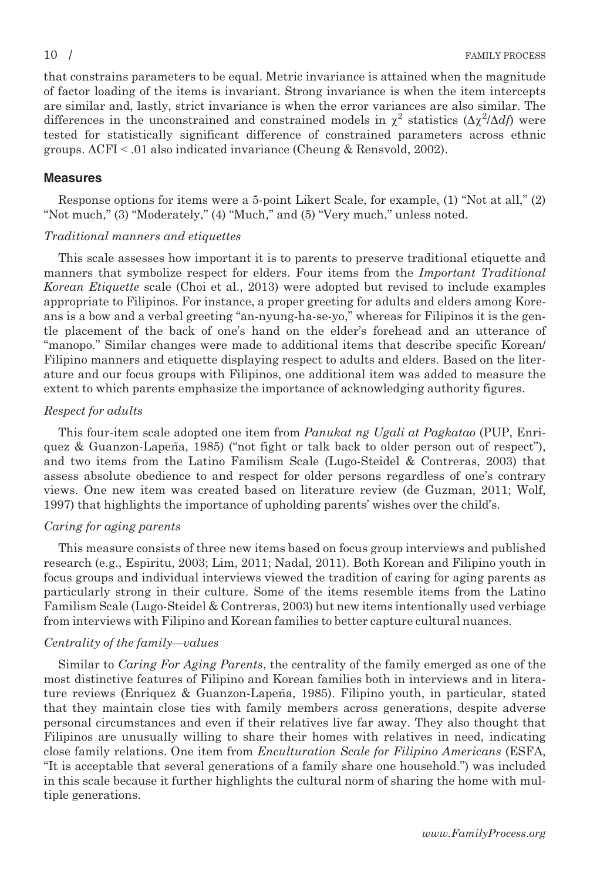that constrains parameters to be equal. Metric invariance is attained when the magnitude of factor loading of the items is invariant. Strong invariance is when the item intercepts are similar and, lastly, strict invariance is when the error variances are also similar. The differences in the unconstrained and constrained models in  $\chi^2$  statistics  $(\Delta \chi^2/\Delta df)$  were tested for statistically significant difference of constrained parameters across ethnic groups.  $\Delta \text{CFI} < .01$  also indicated invariance (Cheung & Rensvold, 2002).

# Measures

Response options for items were a 5-point Likert Scale, for example, (1) "Not at all," (2) "Not much," (3) "Moderately," (4) "Much," and (5) "Very much," unless noted.

## Traditional manners and etiquettes

This scale assesses how important it is to parents to preserve traditional etiquette and manners that symbolize respect for elders. Four items from the *Important Traditional* Korean Etiquette scale (Choi et al., 2013) were adopted but revised to include examples appropriate to Filipinos. For instance, a proper greeting for adults and elders among Koreans is a bow and a verbal greeting "an-nyung-ha-se-yo," whereas for Filipinos it is the gentle placement of the back of one's hand on the elder's forehead and an utterance of "manopo." Similar changes were made to additional items that describe specific Korean/ Filipino manners and etiquette displaying respect to adults and elders. Based on the literature and our focus groups with Filipinos, one additional item was added to measure the extent to which parents emphasize the importance of acknowledging authority figures.

# Respect for adults

This four-item scale adopted one item from Panukat ng Ugali at Pagkatao (PUP, Enriquez & Guanzon-Lapena, 1985) ("not fight or talk back to older person out of respect"), and two items from the Latino Familism Scale (Lugo-Steidel & Contreras, 2003) that assess absolute obedience to and respect for older persons regardless of one's contrary views. One new item was created based on literature review (de Guzman, 2011; Wolf, 1997) that highlights the importance of upholding parents' wishes over the child's.

# Caring for aging parents

This measure consists of three new items based on focus group interviews and published research (e.g., Espiritu, 2003; Lim, 2011; Nadal, 2011). Both Korean and Filipino youth in focus groups and individual interviews viewed the tradition of caring for aging parents as particularly strong in their culture. Some of the items resemble items from the Latino Familism Scale (Lugo-Steidel & Contreras, 2003) but new items intentionally used verbiage from interviews with Filipino and Korean families to better capture cultural nuances.

## Centrality of the family—values

Similar to *Caring For Aging Parents*, the centrality of the family emerged as one of the most distinctive features of Filipino and Korean families both in interviews and in literature reviews (Enriquez & Guanzon-Lapeña, 1985). Filipino youth, in particular, stated that they maintain close ties with family members across generations, despite adverse personal circumstances and even if their relatives live far away. They also thought that Filipinos are unusually willing to share their homes with relatives in need, indicating close family relations. One item from Enculturation Scale for Filipino Americans (ESFA, "It is acceptable that several generations of a family share one household.") was included in this scale because it further highlights the cultural norm of sharing the home with multiple generations.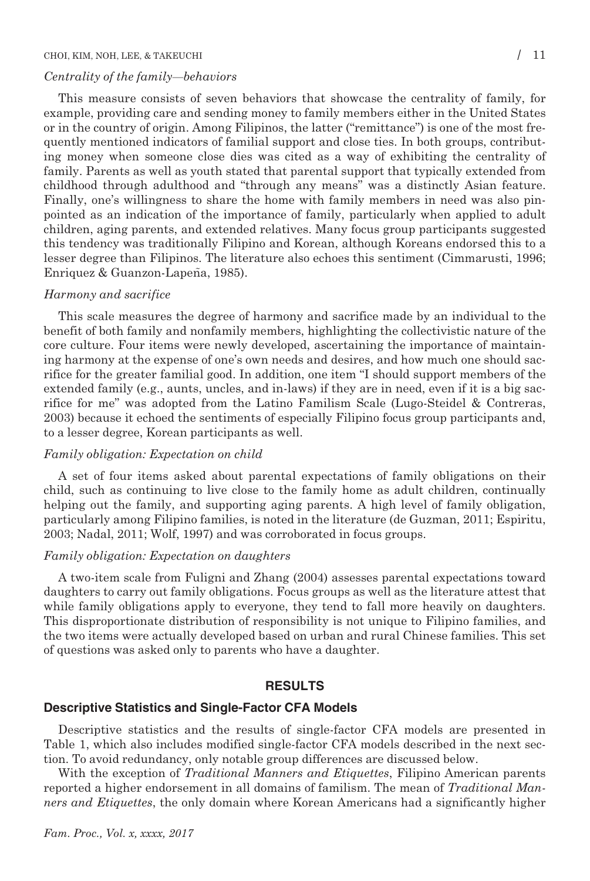## Centrality of the family—behaviors

This measure consists of seven behaviors that showcase the centrality of family, for example, providing care and sending money to family members either in the United States or in the country of origin. Among Filipinos, the latter ("remittance") is one of the most frequently mentioned indicators of familial support and close ties. In both groups, contributing money when someone close dies was cited as a way of exhibiting the centrality of family. Parents as well as youth stated that parental support that typically extended from childhood through adulthood and "through any means" was a distinctly Asian feature. Finally, one's willingness to share the home with family members in need was also pinpointed as an indication of the importance of family, particularly when applied to adult children, aging parents, and extended relatives. Many focus group participants suggested this tendency was traditionally Filipino and Korean, although Koreans endorsed this to a lesser degree than Filipinos. The literature also echoes this sentiment (Cimmarusti, 1996;

## Harmony and sacrifice

Enriquez & Guanzon-Lapeña, 1985).

This scale measures the degree of harmony and sacrifice made by an individual to the benefit of both family and nonfamily members, highlighting the collectivistic nature of the core culture. Four items were newly developed, ascertaining the importance of maintaining harmony at the expense of one's own needs and desires, and how much one should sacrifice for the greater familial good. In addition, one item "I should support members of the extended family (e.g., aunts, uncles, and in-laws) if they are in need, even if it is a big sacrifice for me" was adopted from the Latino Familism Scale (Lugo-Steidel & Contreras, 2003) because it echoed the sentiments of especially Filipino focus group participants and, to a lesser degree, Korean participants as well.

## Family obligation: Expectation on child

A set of four items asked about parental expectations of family obligations on their child, such as continuing to live close to the family home as adult children, continually helping out the family, and supporting aging parents. A high level of family obligation, particularly among Filipino families, is noted in the literature (de Guzman, 2011; Espiritu, 2003; Nadal, 2011; Wolf, 1997) and was corroborated in focus groups.

# Family obligation: Expectation on daughters

A two-item scale from Fuligni and Zhang (2004) assesses parental expectations toward daughters to carry out family obligations. Focus groups as well as the literature attest that while family obligations apply to everyone, they tend to fall more heavily on daughters. This disproportionate distribution of responsibility is not unique to Filipino families, and the two items were actually developed based on urban and rural Chinese families. This set of questions was asked only to parents who have a daughter.

## RESULTS

## Descriptive Statistics and Single-Factor CFA Models

Descriptive statistics and the results of single-factor CFA models are presented in Table 1, which also includes modified single-factor CFA models described in the next section. To avoid redundancy, only notable group differences are discussed below.

With the exception of *Traditional Manners and Etiquettes*, Filipino American parents reported a higher endorsement in all domains of familism. The mean of Traditional Manners and Etiquettes, the only domain where Korean Americans had a significantly higher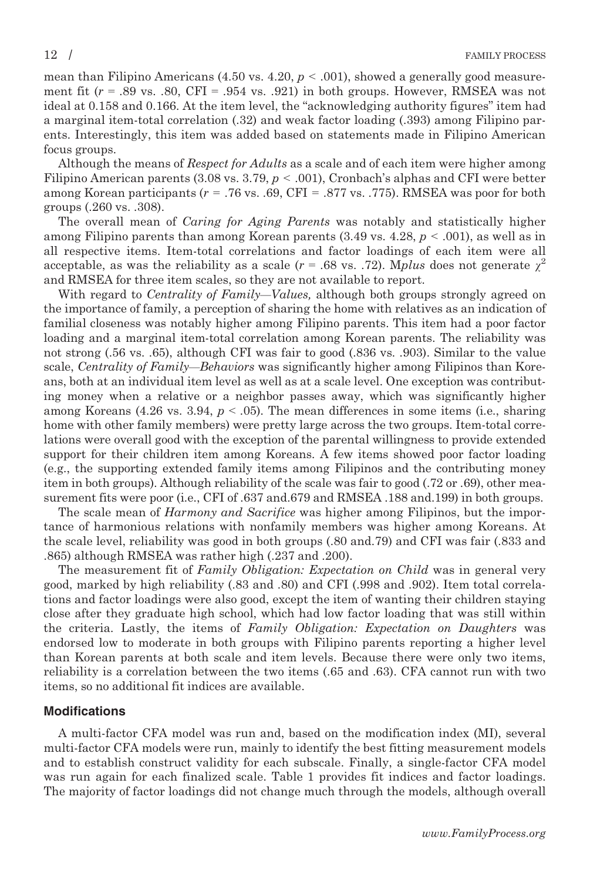mean than Filipino Americans (4.50 vs. 4.20,  $p < .001$ ), showed a generally good measurement fit  $(r = .89 \text{ vs. } .80, \text{ CFI} = .954 \text{ vs. } .921)$  in both groups. However, RMSEA was not ideal at 0.158 and 0.166. At the item level, the "acknowledging authority figures" item had a marginal item-total correlation (.32) and weak factor loading (.393) among Filipino parents. Interestingly, this item was added based on statements made in Filipino American focus groups.

Although the means of *Respect for Adults* as a scale and of each item were higher among Filipino American parents (3.08 vs. 3.79,  $p < .001$ ), Cronbach's alphas and CFI were better among Korean participants ( $r = .76$  vs.  $.69$ , CFI =  $.877$  vs.  $.775$ ). RMSEA was poor for both groups (.260 vs. .308).

The overall mean of *Caring for Aging Parents* was notably and statistically higher among Filipino parents than among Korean parents  $(3.49 \text{ vs. } 4.28, p \le .001)$ , as well as in all respective items. Item-total correlations and factor loadings of each item were all acceptable, as was the reliability as a scale ( $r = .68$  vs. .72). Mplus does not generate  $\chi^2$ and RMSEA for three item scales, so they are not available to report.

With regard to Centrality of Family–Values, although both groups strongly agreed on the importance of family, a perception of sharing the home with relatives as an indication of familial closeness was notably higher among Filipino parents. This item had a poor factor loading and a marginal item-total correlation among Korean parents. The reliability was not strong (.56 vs. .65), although CFI was fair to good (.836 vs. .903). Similar to the value scale, Centrality of Family—Behaviors was significantly higher among Filipinos than Koreans, both at an individual item level as well as at a scale level. One exception was contributing money when a relative or a neighbor passes away, which was significantly higher among Koreans (4.26 vs. 3.94,  $p < .05$ ). The mean differences in some items (i.e., sharing home with other family members) were pretty large across the two groups. Item-total correlations were overall good with the exception of the parental willingness to provide extended support for their children item among Koreans. A few items showed poor factor loading (e.g., the supporting extended family items among Filipinos and the contributing money item in both groups). Although reliability of the scale was fair to good (.72 or .69), other measurement fits were poor (i.e., CFI of .637 and.679 and RMSEA .188 and.199) in both groups.

The scale mean of *Harmony and Sacrifice* was higher among Filipinos, but the importance of harmonious relations with nonfamily members was higher among Koreans. At the scale level, reliability was good in both groups (.80 and.79) and CFI was fair (.833 and .865) although RMSEA was rather high (.237 and .200).

The measurement fit of Family Obligation: Expectation on Child was in general very good, marked by high reliability (.83 and .80) and CFI (.998 and .902). Item total correlations and factor loadings were also good, except the item of wanting their children staying close after they graduate high school, which had low factor loading that was still within the criteria. Lastly, the items of Family Obligation: Expectation on Daughters was endorsed low to moderate in both groups with Filipino parents reporting a higher level than Korean parents at both scale and item levels. Because there were only two items, reliability is a correlation between the two items (.65 and .63). CFA cannot run with two items, so no additional fit indices are available.

## Modifications

A multi-factor CFA model was run and, based on the modification index (MI), several multi-factor CFA models were run, mainly to identify the best fitting measurement models and to establish construct validity for each subscale. Finally, a single-factor CFA model was run again for each finalized scale. Table 1 provides fit indices and factor loadings. The majority of factor loadings did not change much through the models, although overall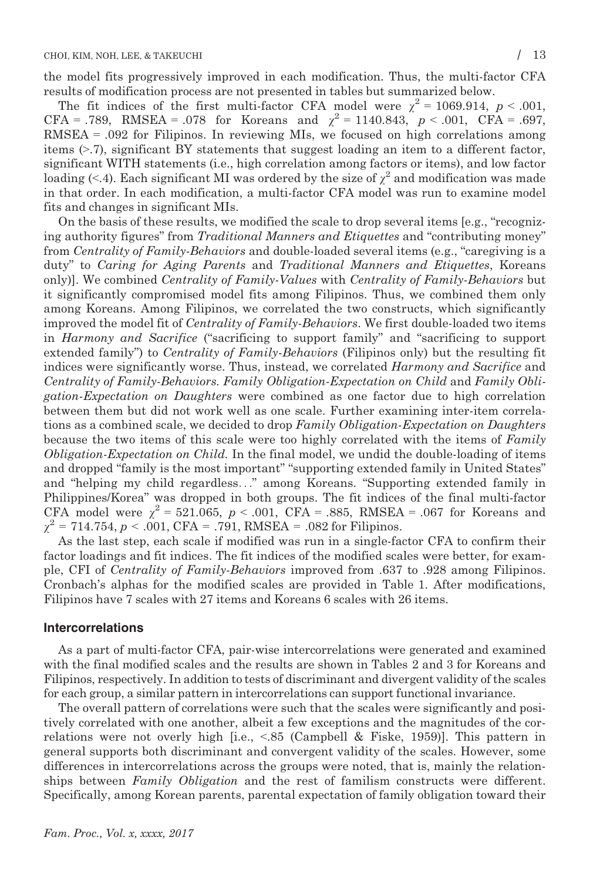the model fits progressively improved in each modification. Thus, the multi-factor CFA results of modification process are not presented in tables but summarized below.

The fit indices of the first multi-factor CFA model were  $\chi^2 = 1069.914$ ,  $p < .001$ , CFA = .789, RMSEA = .078 for Koreans and  $\chi^2 = 1140.843$ ,  $p < .001$ , CFA = .697, RMSEA = .092 for Filipinos. In reviewing MIs, we focused on high correlations among items (>.7), significant BY statements that suggest loading an item to a different factor, significant WITH statements (i.e., high correlation among factors or items), and low factor loading (<.4). Each significant MI was ordered by the size of  $\chi^2$  and modification was made in that order. In each modification, a multi-factor CFA model was run to examine model fits and changes in significant MIs.

On the basis of these results, we modified the scale to drop several items [e.g., "recognizing authority figures" from Traditional Manners and Etiquettes and "contributing money" from Centrality of Family-Behaviors and double-loaded several items (e.g., "caregiving is a duty" to Caring for Aging Parents and Traditional Manners and Etiquettes, Koreans only)]. We combined Centrality of Family-Values with Centrality of Family-Behaviors but it significantly compromised model fits among Filipinos. Thus, we combined them only among Koreans. Among Filipinos, we correlated the two constructs, which significantly improved the model fit of Centrality of Family-Behaviors. We first double-loaded two items in Harmony and Sacrifice ("sacrificing to support family" and "sacrificing to support extended family") to Centrality of Family-Behaviors (Filipinos only) but the resulting fit indices were significantly worse. Thus, instead, we correlated Harmony and Sacrifice and Centrality of Family-Behaviors. Family Obligation-Expectation on Child and Family Obligation-Expectation on Daughters were combined as one factor due to high correlation between them but did not work well as one scale. Further examining inter-item correlations as a combined scale, we decided to drop Family Obligation-Expectation on Daughters because the two items of this scale were too highly correlated with the items of Family Obligation-Expectation on Child. In the final model, we undid the double-loading of items and dropped "family is the most important" "supporting extended family in United States" and "helping my child regardless..." among Koreans. "Supporting extended family in Philippines/Korea" was dropped in both groups. The fit indices of the final multi-factor CFA model were  $\gamma^2 = 521.065$ ,  $p < .001$ , CFA = .885, RMSEA = .067 for Koreans and  $\chi^2$  = 714.754, p < .001, CFA = .791, RMSEA = .082 for Filipinos.

As the last step, each scale if modified was run in a single-factor CFA to confirm their factor loadings and fit indices. The fit indices of the modified scales were better, for example, CFI of Centrality of Family-Behaviors improved from .637 to .928 among Filipinos. Cronbach's alphas for the modified scales are provided in Table 1. After modifications, Filipinos have 7 scales with 27 items and Koreans 6 scales with 26 items.

#### Intercorrelations

As a part of multi-factor CFA, pair-wise intercorrelations were generated and examined with the final modified scales and the results are shown in Tables 2 and 3 for Koreans and Filipinos, respectively. In addition to tests of discriminant and divergent validity of the scales for each group, a similar pattern in intercorrelations can support functional invariance.

The overall pattern of correlations were such that the scales were significantly and positively correlated with one another, albeit a few exceptions and the magnitudes of the correlations were not overly high [i.e., <.85 (Campbell & Fiske, 1959)]. This pattern in general supports both discriminant and convergent validity of the scales. However, some differences in intercorrelations across the groups were noted, that is, mainly the relationships between Family Obligation and the rest of familism constructs were different. Specifically, among Korean parents, parental expectation of family obligation toward their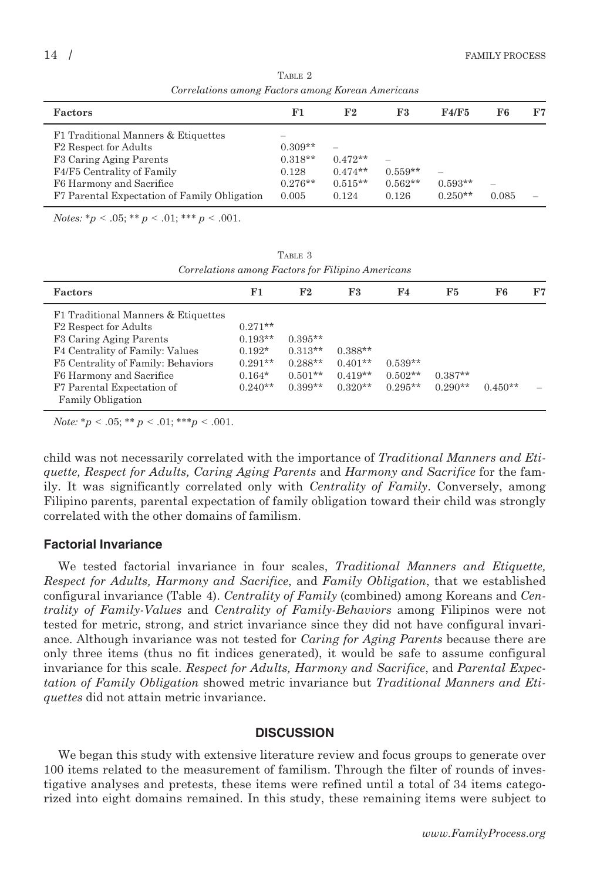| F2<br>F1               | F3        | <b>F4/F5</b>                                                     | F6    | F7 |
|------------------------|-----------|------------------------------------------------------------------|-------|----|
|                        |           |                                                                  |       |    |
| $0.309**$              |           |                                                                  |       |    |
| $0.318**$<br>$0.472**$ |           |                                                                  |       |    |
| $0.474**$<br>0.128     | $0.559**$ |                                                                  |       |    |
| $0.276**$<br>$0.515**$ | $0.562**$ | $0.593**$                                                        |       |    |
| 0.005<br>0.124         | 0.126     | $0.250**$                                                        | 0.085 |    |
|                        |           | Corrective to convert a correct of converted correctives receive |       |    |

TABLE 2 Correlations among Factors among Korean Americans

Notes:  $* p < .05; ** p < .01; ** p < .001.$ 

|                                                   | TABLE 3 |  |  |
|---------------------------------------------------|---------|--|--|
| Correlations among Factors for Filipino Americans |         |  |  |

| Factors                                                                                                                                                                                                                                                            | F1                                                                       | F2                                                            | $_{\rm F3}$                                      | F4                                  | F5                     | F6        | F7 |
|--------------------------------------------------------------------------------------------------------------------------------------------------------------------------------------------------------------------------------------------------------------------|--------------------------------------------------------------------------|---------------------------------------------------------------|--------------------------------------------------|-------------------------------------|------------------------|-----------|----|
| F1 Traditional Manners & Etiquettes<br>F <sub>2</sub> Respect for Adults<br>F3 Caring Aging Parents<br>F4 Centrality of Family: Values<br>F5 Centrality of Family: Behaviors<br>F6 Harmony and Sacrifice<br>F7 Parental Expectation of<br><b>Family Obligation</b> | $0.271**$<br>$0.193**$<br>$0.192*$<br>$0.291**$<br>$0.164*$<br>$0.240**$ | $0.395**$<br>$0.313**$<br>$0.288**$<br>$0.501**$<br>$0.399**$ | $0.388**$<br>$0.401**$<br>$0.419**$<br>$0.320**$ | $0.539**$<br>$0.502**$<br>$0.295**$ | $0.387**$<br>$0.290**$ | $0.450**$ |    |

Note: \* $p < .05$ ; \*\* $p < .01$ ; \*\*\* $p < .001$ .

child was not necessarily correlated with the importance of Traditional Manners and Etiquette, Respect for Adults, Caring Aging Parents and Harmony and Sacrifice for the family. It was significantly correlated only with *Centrality of Family*. Conversely, among Filipino parents, parental expectation of family obligation toward their child was strongly correlated with the other domains of familism.

# Factorial Invariance

We tested factorial invariance in four scales, Traditional Manners and Etiquette, Respect for Adults, Harmony and Sacrifice, and Family Obligation, that we established configural invariance (Table 4). Centrality of Family (combined) among Koreans and Centrality of Family-Values and Centrality of Family-Behaviors among Filipinos were not tested for metric, strong, and strict invariance since they did not have configural invariance. Although invariance was not tested for Caring for Aging Parents because there are only three items (thus no fit indices generated), it would be safe to assume configural invariance for this scale. Respect for Adults, Harmony and Sacrifice, and Parental Expectation of Family Obligation showed metric invariance but Traditional Manners and Etiquettes did not attain metric invariance.

## **DISCUSSION**

We began this study with extensive literature review and focus groups to generate over 100 items related to the measurement of familism. Through the filter of rounds of investigative analyses and pretests, these items were refined until a total of 34 items categorized into eight domains remained. In this study, these remaining items were subject to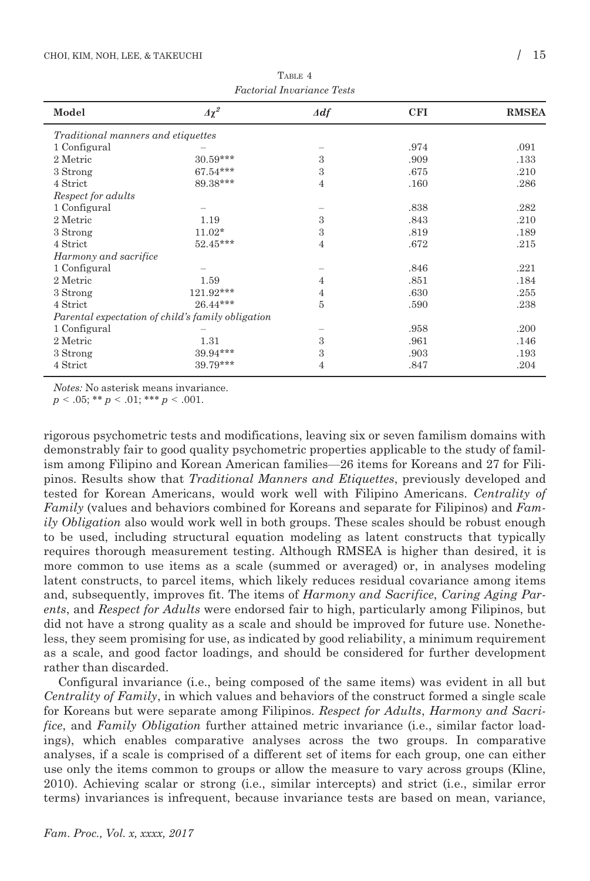L,

| Model                              | $4\chi^2$                                         | $\Delta df$ | <b>CFI</b> | <b>RMSEA</b> |
|------------------------------------|---------------------------------------------------|-------------|------------|--------------|
| Traditional manners and etiquettes |                                                   |             |            |              |
| 1 Configural                       |                                                   |             | .974       | .091         |
| 2 Metric                           | 30.59***                                          | 3           | .909       | .133         |
| 3 Strong                           | 67.54***                                          | 3           | .675       | .210         |
| 4 Strict                           | 89.38***                                          | 4           | .160       | .286         |
| Respect for adults                 |                                                   |             |            |              |
| 1 Configural                       |                                                   |             | .838       | .282         |
| 2 Metric                           | 1.19                                              | 3           | .843       | .210         |
| 3 Strong                           | $11.02*$                                          | 3           | .819       | .189         |
| 4 Strict                           | 52.45***                                          | 4           | .672       | .215         |
| Harmony and sacrifice              |                                                   |             |            |              |
| 1 Configural                       |                                                   |             | .846       | .221         |
| 2 Metric                           | 1.59                                              | 4           | .851       | .184         |
| 3 Strong                           | 121.92***                                         | 4           | .630       | .255         |
| 4 Strict                           | 26.44***                                          | 5           | .590       | .238         |
|                                    | Parental expectation of child's family obligation |             |            |              |
| 1 Configural                       |                                                   |             | .958       | .200         |
| 2 Metric                           | 1.31                                              | 3           | .961       | .146         |
| 3 Strong                           | 39.94***                                          | 3           | .903       | .193         |
| 4 Strict                           | 39.79***                                          | 4           | .847       | .204         |

TABLE 4 Factorial Invariance Tests

Notes: No asterisk means invariance.

 $p < .05; ** p < .01; *** p < .001.$ 

rigorous psychometric tests and modifications, leaving six or seven familism domains with demonstrably fair to good quality psychometric properties applicable to the study of familism among Filipino and Korean American families—26 items for Koreans and 27 for Filipinos. Results show that Traditional Manners and Etiquettes, previously developed and tested for Korean Americans, would work well with Filipino Americans. Centrality of Family (values and behaviors combined for Koreans and separate for Filipinos) and Family Obligation also would work well in both groups. These scales should be robust enough to be used, including structural equation modeling as latent constructs that typically requires thorough measurement testing. Although RMSEA is higher than desired, it is more common to use items as a scale (summed or averaged) or, in analyses modeling latent constructs, to parcel items, which likely reduces residual covariance among items and, subsequently, improves fit. The items of Harmony and Sacrifice, Caring Aging Parents, and Respect for Adults were endorsed fair to high, particularly among Filipinos, but did not have a strong quality as a scale and should be improved for future use. Nonetheless, they seem promising for use, as indicated by good reliability, a minimum requirement as a scale, and good factor loadings, and should be considered for further development rather than discarded.

Configural invariance (i.e., being composed of the same items) was evident in all but Centrality of Family, in which values and behaviors of the construct formed a single scale for Koreans but were separate among Filipinos. Respect for Adults, Harmony and Sacrifice, and Family Obligation further attained metric invariance (i.e., similar factor loadings), which enables comparative analyses across the two groups. In comparative analyses, if a scale is comprised of a different set of items for each group, one can either use only the items common to groups or allow the measure to vary across groups (Kline, 2010). Achieving scalar or strong (i.e., similar intercepts) and strict (i.e., similar error terms) invariances is infrequent, because invariance tests are based on mean, variance,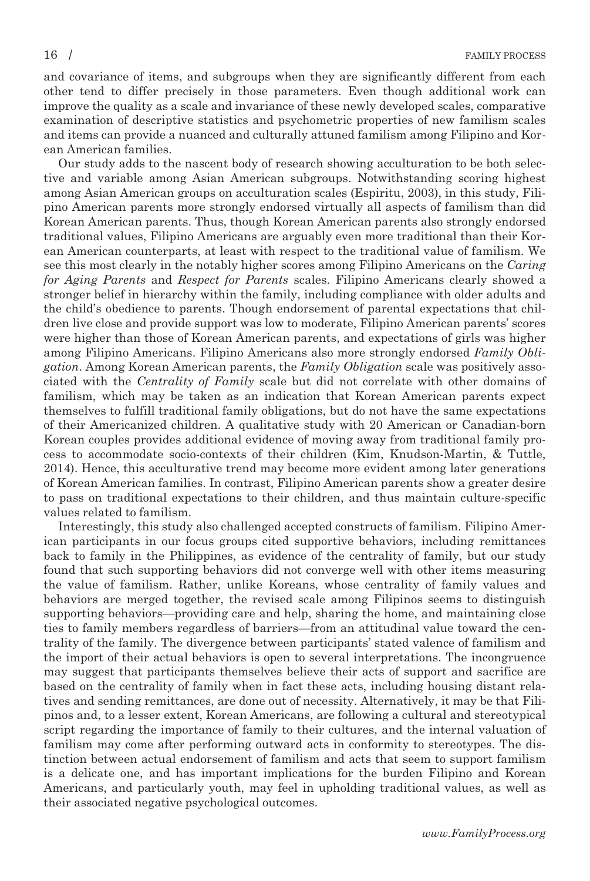and covariance of items, and subgroups when they are significantly different from each other tend to differ precisely in those parameters. Even though additional work can improve the quality as a scale and invariance of these newly developed scales, comparative examination of descriptive statistics and psychometric properties of new familism scales and items can provide a nuanced and culturally attuned familism among Filipino and Korean American families.

Our study adds to the nascent body of research showing acculturation to be both selective and variable among Asian American subgroups. Notwithstanding scoring highest among Asian American groups on acculturation scales (Espiritu, 2003), in this study, Filipino American parents more strongly endorsed virtually all aspects of familism than did Korean American parents. Thus, though Korean American parents also strongly endorsed traditional values, Filipino Americans are arguably even more traditional than their Korean American counterparts, at least with respect to the traditional value of familism. We see this most clearly in the notably higher scores among Filipino Americans on the Caring for Aging Parents and Respect for Parents scales. Filipino Americans clearly showed a stronger belief in hierarchy within the family, including compliance with older adults and the child's obedience to parents. Though endorsement of parental expectations that children live close and provide support was low to moderate, Filipino American parents' scores were higher than those of Korean American parents, and expectations of girls was higher among Filipino Americans. Filipino Americans also more strongly endorsed Family Obligation. Among Korean American parents, the Family Obligation scale was positively associated with the Centrality of Family scale but did not correlate with other domains of familism, which may be taken as an indication that Korean American parents expect themselves to fulfill traditional family obligations, but do not have the same expectations of their Americanized children. A qualitative study with 20 American or Canadian-born Korean couples provides additional evidence of moving away from traditional family process to accommodate socio-contexts of their children (Kim, Knudson-Martin, & Tuttle, 2014). Hence, this acculturative trend may become more evident among later generations of Korean American families. In contrast, Filipino American parents show a greater desire to pass on traditional expectations to their children, and thus maintain culture-specific values related to familism.

Interestingly, this study also challenged accepted constructs of familism. Filipino American participants in our focus groups cited supportive behaviors, including remittances back to family in the Philippines, as evidence of the centrality of family, but our study found that such supporting behaviors did not converge well with other items measuring the value of familism. Rather, unlike Koreans, whose centrality of family values and behaviors are merged together, the revised scale among Filipinos seems to distinguish supporting behaviors—providing care and help, sharing the home, and maintaining close ties to family members regardless of barriers—from an attitudinal value toward the centrality of the family. The divergence between participants' stated valence of familism and the import of their actual behaviors is open to several interpretations. The incongruence may suggest that participants themselves believe their acts of support and sacrifice are based on the centrality of family when in fact these acts, including housing distant relatives and sending remittances, are done out of necessity. Alternatively, it may be that Filipinos and, to a lesser extent, Korean Americans, are following a cultural and stereotypical script regarding the importance of family to their cultures, and the internal valuation of familism may come after performing outward acts in conformity to stereotypes. The distinction between actual endorsement of familism and acts that seem to support familism is a delicate one, and has important implications for the burden Filipino and Korean Americans, and particularly youth, may feel in upholding traditional values, as well as their associated negative psychological outcomes.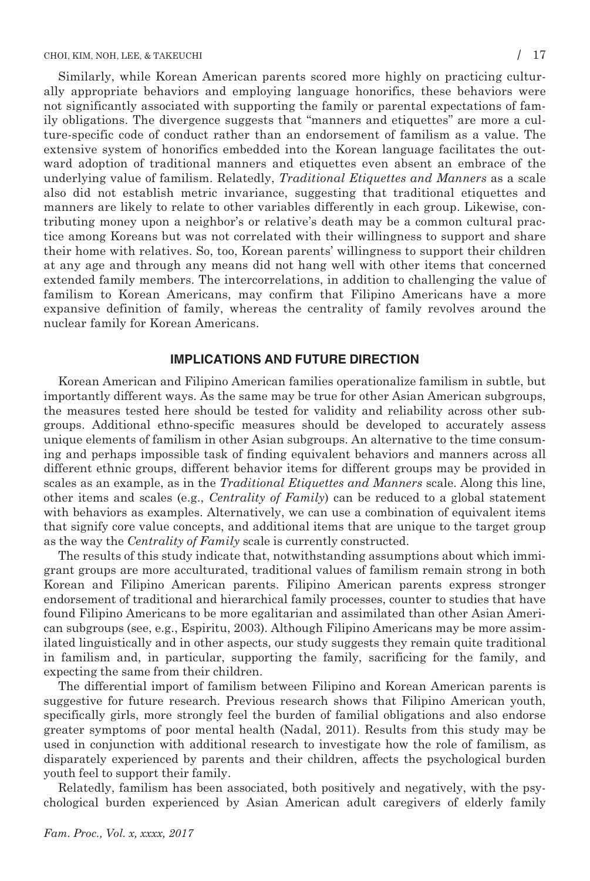Similarly, while Korean American parents scored more highly on practicing culturally appropriate behaviors and employing language honorifics, these behaviors were not significantly associated with supporting the family or parental expectations of family obligations. The divergence suggests that "manners and etiquettes" are more a culture-specific code of conduct rather than an endorsement of familism as a value. The extensive system of honorifics embedded into the Korean language facilitates the outward adoption of traditional manners and etiquettes even absent an embrace of the underlying value of familism. Relatedly, *Traditional Etiquettes and Manners* as a scale also did not establish metric invariance, suggesting that traditional etiquettes and manners are likely to relate to other variables differently in each group. Likewise, contributing money upon a neighbor's or relative's death may be a common cultural practice among Koreans but was not correlated with their willingness to support and share their home with relatives. So, too, Korean parents' willingness to support their children at any age and through any means did not hang well with other items that concerned extended family members. The intercorrelations, in addition to challenging the value of familism to Korean Americans, may confirm that Filipino Americans have a more expansive definition of family, whereas the centrality of family revolves around the nuclear family for Korean Americans.

# IMPLICATIONS AND FUTURE DIRECTION

Korean American and Filipino American families operationalize familism in subtle, but importantly different ways. As the same may be true for other Asian American subgroups, the measures tested here should be tested for validity and reliability across other subgroups. Additional ethno-specific measures should be developed to accurately assess unique elements of familism in other Asian subgroups. An alternative to the time consuming and perhaps impossible task of finding equivalent behaviors and manners across all different ethnic groups, different behavior items for different groups may be provided in scales as an example, as in the *Traditional Etiquettes and Manners* scale. Along this line, other items and scales (e.g., Centrality of Family) can be reduced to a global statement with behaviors as examples. Alternatively, we can use a combination of equivalent items that signify core value concepts, and additional items that are unique to the target group as the way the Centrality of Family scale is currently constructed.

The results of this study indicate that, notwithstanding assumptions about which immigrant groups are more acculturated, traditional values of familism remain strong in both Korean and Filipino American parents. Filipino American parents express stronger endorsement of traditional and hierarchical family processes, counter to studies that have found Filipino Americans to be more egalitarian and assimilated than other Asian American subgroups (see, e.g., Espiritu, 2003). Although Filipino Americans may be more assimilated linguistically and in other aspects, our study suggests they remain quite traditional in familism and, in particular, supporting the family, sacrificing for the family, and expecting the same from their children.

The differential import of familism between Filipino and Korean American parents is suggestive for future research. Previous research shows that Filipino American youth, specifically girls, more strongly feel the burden of familial obligations and also endorse greater symptoms of poor mental health (Nadal, 2011). Results from this study may be used in conjunction with additional research to investigate how the role of familism, as disparately experienced by parents and their children, affects the psychological burden youth feel to support their family.

Relatedly, familism has been associated, both positively and negatively, with the psychological burden experienced by Asian American adult caregivers of elderly family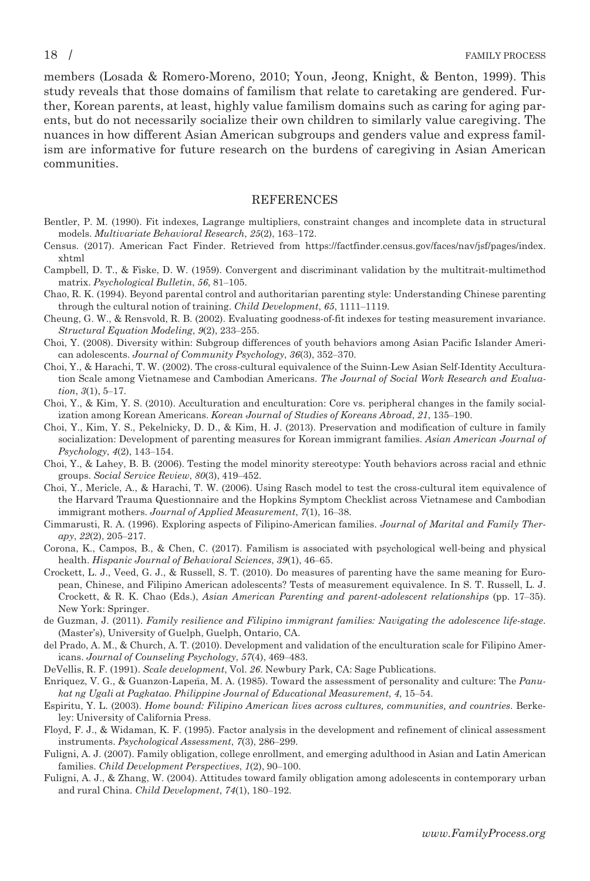members (Losada & Romero-Moreno, 2010; Youn, Jeong, Knight, & Benton, 1999). This study reveals that those domains of familism that relate to caretaking are gendered. Further, Korean parents, at least, highly value familism domains such as caring for aging parents, but do not necessarily socialize their own children to similarly value caregiving. The nuances in how different Asian American subgroups and genders value and express familism are informative for future research on the burdens of caregiving in Asian American communities.

#### **REFERENCES**

- Bentler, P. M. (1990). Fit indexes, Lagrange multipliers, constraint changes and incomplete data in structural models. Multivariate Behavioral Research, 25(2), 163–172.
- Census. (2017). American Fact Finder. Retrieved from [https://factfinder.census.gov/faces/nav/jsf/pages/index.](https://factfinder.census.gov/faces/nav/jsf/pages/index.xhtml) [xhtml](https://factfinder.census.gov/faces/nav/jsf/pages/index.xhtml)
- Campbell, D. T., & Fiske, D. W. (1959). Convergent and discriminant validation by the multitrait-multimethod matrix. Psychological Bulletin, 56, 81–105.
- Chao, R. K. (1994). Beyond parental control and authoritarian parenting style: Understanding Chinese parenting through the cultural notion of training. Child Development, 65, 1111–1119.
- Cheung, G. W., & Rensvold, R. B. (2002). Evaluating goodness-of-fit indexes for testing measurement invariance. Structural Equation Modeling, 9(2), 233–255.
- Choi, Y. (2008). Diversity within: Subgroup differences of youth behaviors among Asian Pacific Islander American adolescents. Journal of Community Psychology, 36(3), 352–370.
- Choi, Y., & Harachi, T. W. (2002). The cross-cultural equivalence of the Suinn-Lew Asian Self-Identity Acculturation Scale among Vietnamese and Cambodian Americans. The Journal of Social Work Research and Evaluation, 3(1), 5-17.
- Choi, Y., & Kim, Y. S. (2010). Acculturation and enculturation: Core vs. peripheral changes in the family socialization among Korean Americans. Korean Journal of Studies of Koreans Abroad, 21, 135-190.
- Choi, Y., Kim, Y. S., Pekelnicky, D. D., & Kim, H. J. (2013). Preservation and modification of culture in family socialization: Development of parenting measures for Korean immigrant families. Asian American Journal of Psychology, 4(2), 143–154.
- Choi, Y., & Lahey, B. B. (2006). Testing the model minority stereotype: Youth behaviors across racial and ethnic groups. Social Service Review, 80(3), 419–452.
- Choi, Y., Mericle, A., & Harachi, T. W. (2006). Using Rasch model to test the cross-cultural item equivalence of the Harvard Trauma Questionnaire and the Hopkins Symptom Checklist across Vietnamese and Cambodian immigrant mothers. Journal of Applied Measurement, 7(1), 16–38.
- Cimmarusti, R. A. (1996). Exploring aspects of Filipino-American families. Journal of Marital and Family Therapy, 22(2), 205–217.
- Corona, K., Campos, B., & Chen, C. (2017). Familism is associated with psychological well-being and physical health. Hispanic Journal of Behavioral Sciences, 39(1), 46-65.
- Crockett, L. J., Veed, G. J., & Russell, S. T. (2010). Do measures of parenting have the same meaning for European, Chinese, and Filipino American adolescents? Tests of measurement equivalence. In S. T. Russell, L. J. Crockett, & R. K. Chao (Eds.), Asian American Parenting and parent-adolescent relationships (pp. 17–35). New York: Springer.
- de Guzman, J. (2011). Family resilience and Filipino immigrant families: Navigating the adolescence life-stage. (Master's), University of Guelph, Guelph, Ontario, CA.
- del Prado, A. M., & Church, A. T. (2010). Development and validation of the enculturation scale for Filipino Americans. Journal of Counseling Psychology, 57(4), 469–483.
- DeVellis, R. F. (1991). Scale development, Vol. 26. Newbury Park, CA: Sage Publications.
- Enriquez, V. G., & Guanzon-Lapeña, M. A. (1985). Toward the assessment of personality and culture: The Panukat ng Ugali at Pagkatao. Philippine Journal of Educational Measurement, 4, 15–54.
- Espiritu, Y. L. (2003). Home bound: Filipino American lives across cultures, communities, and countries. Berkeley: University of California Press.
- Floyd, F. J., & Widaman, K. F. (1995). Factor analysis in the development and refinement of clinical assessment instruments. Psychological Assessment, 7(3), 286–299.
- Fuligni, A. J. (2007). Family obligation, college enrollment, and emerging adulthood in Asian and Latin American families. Child Development Perspectives, 1(2), 90–100.
- Fuligni, A. J., & Zhang, W. (2004). Attitudes toward family obligation among adolescents in contemporary urban and rural China. Child Development, 74(1), 180–192.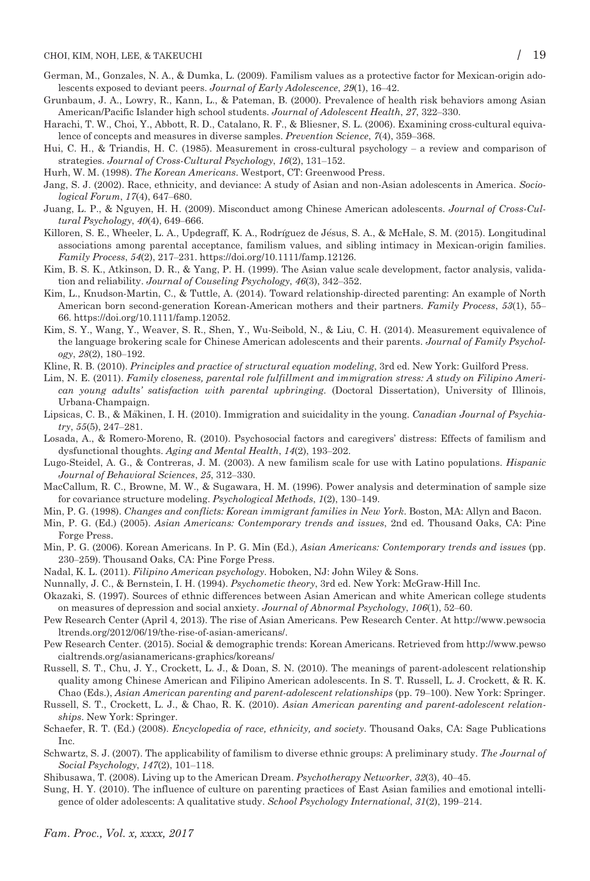- German, M., Gonzales, N. A., & Dumka, L. (2009). Familism values as a protective factor for Mexican-origin adolescents exposed to deviant peers. Journal of Early Adolescence, 29(1), 16–42.
- Grunbaum, J. A., Lowry, R., Kann, L., & Pateman, B. (2000). Prevalence of health risk behaviors among Asian American/Pacific Islander high school students. Journal of Adolescent Health, 27, 322-330.
- Harachi, T. W., Choi, Y., Abbott, R. D., Catalano, R. F., & Bliesner, S. L. (2006). Examining cross-cultural equivalence of concepts and measures in diverse samples. Prevention Science, 7(4), 359–368.
- Hui, C. H., & Triandis, H. C. (1985). Measurement in cross-cultural psychology a review and comparison of strategies. Journal of Cross-Cultural Psychology, 16(2), 131–152.
- Hurh, W. M. (1998). The Korean Americans. Westport, CT: Greenwood Press.
- Jang, S. J. (2002). Race, ethnicity, and deviance: A study of Asian and non-Asian adolescents in America. Sociological Forum, 17(4), 647–680.
- Juang, L. P., & Nguyen, H. H. (2009). Misconduct among Chinese American adolescents. Journal of Cross-Cultural Psychology, 40(4), 649–666.
- Killoren, S. E., Wheeler, L. A., Updegraff, K. A., Rodríguez de Jésus, S. A., & McHale, S. M. (2015). Longitudinal associations among parental acceptance, familism values, and sibling intimacy in Mexican-origin families. Family Process, 54(2), 217–231.<https://doi.org/10.1111/famp.12126>.
- Kim, B. S. K., Atkinson, D. R., & Yang, P. H. (1999). The Asian value scale development, factor analysis, validation and reliability. Journal of Couseling Psychology, 46(3), 342–352.
- Kim, L., Knudson-Martin, C., & Tuttle, A. (2014). Toward relationship-directed parenting: An example of North American born second-generation Korean-American mothers and their partners. Family Process, 53(1), 55– 66. [https://doi.org/10.1111/famp.12052.](https://doi.org/10.1111/famp.12052)
- Kim, S. Y., Wang, Y., Weaver, S. R., Shen, Y., Wu-Seibold, N., & Liu, C. H. (2014). Measurement equivalence of the language brokering scale for Chinese American adolescents and their parents. Journal of Family Psychology, 28(2), 180–192.
- Kline, R. B. (2010). Principles and practice of structural equation modeling, 3rd ed. New York: Guilford Press.
- Lim, N. E. (2011). Family closeness, parental role fulfillment and immigration stress: A study on Filipino American young adults' satisfaction with parental upbringing. (Doctoral Dissertation), University of Illinois, Urbana-Champaign.
- Lipsicas, C. B., & Makinen, I. H. (2010). Immigration and suicidality in the young. Canadian Journal of Psychiatry, 55(5), 247–281.
- Losada, A., & Romero-Moreno, R. (2010). Psychosocial factors and caregivers' distress: Effects of familism and dysfunctional thoughts. Aging and Mental Health, 14(2), 193–202.
- Lugo-Steidel, A. G., & Contreras, J. M. (2003). A new familism scale for use with Latino populations. Hispanic Journal of Behavioral Sciences, 25, 312–330.
- MacCallum, R. C., Browne, M. W., & Sugawara, H. M. (1996). Power analysis and determination of sample size for covariance structure modeling. Psychological Methods, 1(2), 130–149.
- Min, P. G. (1998). Changes and conflicts: Korean immigrant families in New York. Boston, MA: Allyn and Bacon.
- Min, P. G. (Ed.) (2005). Asian Americans: Contemporary trends and issues, 2nd ed. Thousand Oaks, CA: Pine Forge Press.
- Min, P. G. (2006). Korean Americans. In P. G. Min (Ed.), Asian Americans: Contemporary trends and issues (pp. 230–259). Thousand Oaks, CA: Pine Forge Press.
- Nadal, K. L. (2011). Filipino American psychology. Hoboken, NJ: John Wiley & Sons.
- Nunnally, J. C., & Bernstein, I. H. (1994). Psychometic theory, 3rd ed. New York: McGraw-Hill Inc.
- Okazaki, S. (1997). Sources of ethnic differences between Asian American and white American college students on measures of depression and social anxiety. Journal of Abnormal Psychology, 106(1), 52–60.
- Pew Research Center (April 4, 2013). The rise of Asian Americans. Pew Research Center. At [http://www.pewsocia](http://www.pewsocialtrends.org/2012/06/19/the-rise-of-asian-americans/) [ltrends.org/2012/06/19/the-rise-of-asian-americans/.](http://www.pewsocialtrends.org/2012/06/19/the-rise-of-asian-americans/)
- Pew Research Center. (2015). Social & demographic trends: Korean Americans. Retrieved from [http://www.pewso](http://www.pewsocialtrends.org/asianamericans-graphics/koreans/) [cialtrends.org/asianamericans-graphics/koreans/](http://www.pewsocialtrends.org/asianamericans-graphics/koreans/)
- Russell, S. T., Chu, J. Y., Crockett, L. J., & Doan, S. N. (2010). The meanings of parent-adolescent relationship quality among Chinese American and Filipino American adolescents. In S. T. Russell, L. J. Crockett, & R. K. Chao (Eds.), Asian American parenting and parent-adolescent relationships (pp. 79–100). New York: Springer.
- Russell, S. T., Crockett, L. J., & Chao, R. K. (2010). Asian American parenting and parent-adolescent relationships. New York: Springer.
- Schaefer, R. T. (Ed.) (2008). Encyclopedia of race, ethnicity, and society. Thousand Oaks, CA: Sage Publications Inc.
- Schwartz, S. J. (2007). The applicability of familism to diverse ethnic groups: A preliminary study. The Journal of Social Psychology, 147(2), 101–118.
- Shibusawa, T. (2008). Living up to the American Dream. Psychotherapy Networker, 32(3), 40–45.
- Sung, H. Y. (2010). The influence of culture on parenting practices of East Asian families and emotional intelligence of older adolescents: A qualitative study. School Psychology International, 31(2), 199–214.